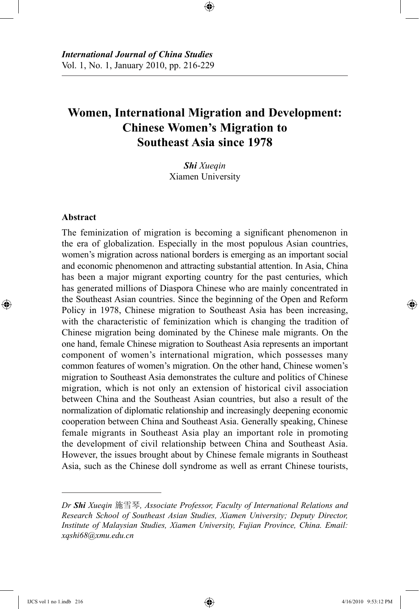# **Women, International Migration and Development: Chinese Women's Migration to Southeast Asia since 1978**

⊕

*Shi Xueqin* Xiamen University

#### **Abstract**

⊕

The feminization of migration is becoming a significant phenomenon in the era of globalization. Especially in the most populous Asian countries, women's migration across national borders is emerging as an important social and economic phenomenon and attracting substantial attention. In Asia, China has been a major migrant exporting country for the past centuries, which has generated millions of Diaspora Chinese who are mainly concentrated in the Southeast Asian countries. Since the beginning of the Open and Reform Policy in 1978, Chinese migration to Southeast Asia has been increasing, with the characteristic of feminization which is changing the tradition of Chinese migration being dominated by the Chinese male migrants. On the one hand, female Chinese migration to Southeast Asia represents an important component of women's international migration, which possesses many common features of women's migration. On the other hand, Chinese women's migration to Southeast Asia demonstrates the culture and politics of Chinese migration, which is not only an extension of historical civil association between China and the Southeast Asian countries, but also a result of the normalization of diplomatic relationship and increasingly deepening economic cooperation between China and Southeast Asia. Generally speaking, Chinese female migrants in Southeast Asia play an important role in promoting the development of civil relationship between China and Southeast Asia. However, the issues brought about by Chinese female migrants in Southeast Asia, such as the Chinese doll syndrome as well as errant Chinese tourists,

*Dr Shi Xueqin* 施雪琴*, Associate Professor, Faculty of International Relations and Research School of Southeast Asian Studies, Xiamen University; Deputy Director, Institute of Malaysian Studies, Xiamen University, Fujian Province, China. Email: xqshi68@xmu.edu.cn*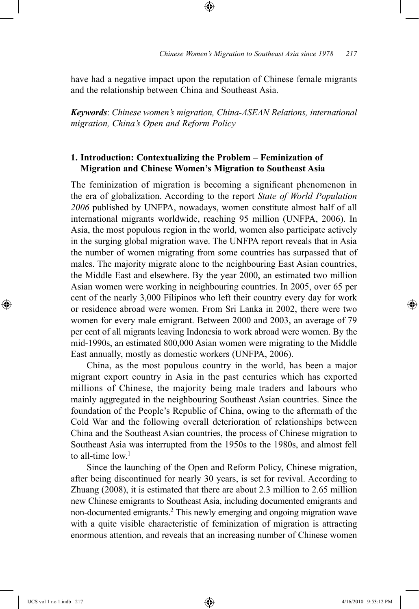have had a negative impact upon the reputation of Chinese female migrants and the relationship between China and Southeast Asia.

⊕

*Keywords*: *Chinese women's migration, China-ASEAN Relations, international migration, China's Open and Reform Policy*

# **1. Introduction: Contextualizing the Problem – Feminization of Migration and Chinese Women's Migration to Southeast Asia**

The feminization of migration is becoming a significant phenomenon in the era of globalization. According to the report *State of World Population 2006* published by UNFPA, nowadays, women constitute almost half of all international migrants worldwide, reaching 95 million (UNFPA, 2006). In Asia, the most populous region in the world, women also participate actively in the surging global migration wave. The UNFPA report reveals that in Asia the number of women migrating from some countries has surpassed that of males. The majority migrate alone to the neighbouring East Asian countries, the Middle East and elsewhere. By the year 2000, an estimated two million Asian women were working in neighbouring countries. In 2005, over 65 per cent of the nearly 3,000 Filipinos who left their country every day for work or residence abroad were women. From Sri Lanka in 2002, there were two women for every male emigrant. Between 2000 and 2003, an average of 79 per cent of all migrants leaving Indonesia to work abroad were women. By the mid-1990s, an estimated 800,000 Asian women were migrating to the Middle East annually, mostly as domestic workers (UNFPA, 2006).

China, as the most populous country in the world, has been a major migrant export country in Asia in the past centuries which has exported millions of Chinese, the majority being male traders and labours who mainly aggregated in the neighbouring Southeast Asian countries. Since the foundation of the People's Republic of China, owing to the aftermath of the Cold War and the following overall deterioration of relationships between China and the Southeast Asian countries, the process of Chinese migration to Southeast Asia was interrupted from the 1950s to the 1980s, and almost fell to all-time  $low<sup>1</sup>$ 

Since the launching of the Open and Reform Policy, Chinese migration, after being discontinued for nearly 30 years, is set for revival. According to Zhuang (2008), it is estimated that there are about 2.3 million to 2.65 million new Chinese emigrants to Southeast Asia, including documented emigrants and non-documented emigrants.2 This newly emerging and ongoing migration wave with a quite visible characteristic of feminization of migration is attracting enormous attention, and reveals that an increasing number of Chinese women

⊕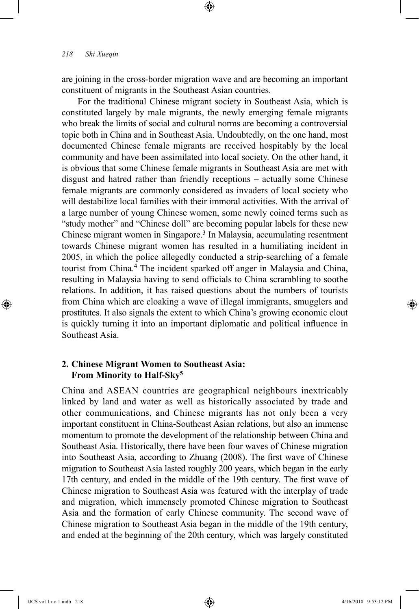are joining in the cross-border migration wave and are becoming an important constituent of migrants in the Southeast Asian countries.

⊕

For the traditional Chinese migrant society in Southeast Asia, which is constituted largely by male migrants, the newly emerging female migrants who break the limits of social and cultural norms are becoming a controversial topic both in China and in Southeast Asia. Undoubtedly, on the one hand, most documented Chinese female migrants are received hospitably by the local community and have been assimilated into local society. On the other hand, it is obvious that some Chinese female migrants in Southeast Asia are met with disgust and hatred rather than friendly receptions – actually some Chinese female migrants are commonly considered as invaders of local society who will destabilize local families with their immoral activities. With the arrival of a large number of young Chinese women, some newly coined terms such as "study mother" and "Chinese doll" are becoming popular labels for these new Chinese migrant women in Singapore.3 In Malaysia, accumulating resentment towards Chinese migrant women has resulted in a humiliating incident in 2005, in which the police allegedly conducted a strip-searching of a female tourist from China.4 The incident sparked off anger in Malaysia and China, resulting in Malaysia having to send officials to China scrambling to soothe relations. In addition, it has raised questions about the numbers of tourists from China which are cloaking a wave of illegal immigrants, smugglers and prostitutes. It also signals the extent to which China's growing economic clout is quickly turning it into an important diplomatic and political influence in Southeast Asia.

# **2. Chinese Migrant Women to Southeast Asia: From Minority to Half-Sky5**

China and ASEAN countries are geographical neighbours inextricably linked by land and water as well as historically associated by trade and other communications, and Chinese migrants has not only been a very important constituent in China-Southeast Asian relations, but also an immense momentum to promote the development of the relationship between China and Southeast Asia. Historically, there have been four waves of Chinese migration into Southeast Asia, according to Zhuang (2008). The first wave of Chinese migration to Southeast Asia lasted roughly 200 years, which began in the early 17th century, and ended in the middle of the 19th century. The first wave of Chinese migration to Southeast Asia was featured with the interplay of trade and migration, which immensely promoted Chinese migration to Southeast Asia and the formation of early Chinese community. The second wave of Chinese migration to Southeast Asia began in the middle of the 19th century, and ended at the beginning of the 20th century, which was largely constituted

⊕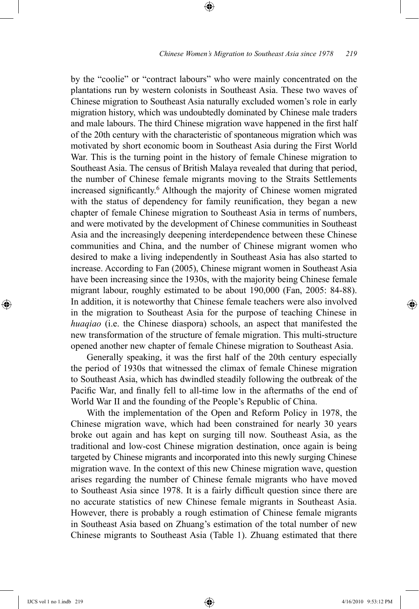by the "coolie" or "contract labours" who were mainly concentrated on the plantations run by western colonists in Southeast Asia. These two waves of Chinese migration to Southeast Asia naturally excluded women's role in early migration history, which was undoubtedly dominated by Chinese male traders and male labours. The third Chinese migration wave happened in the first half of the 20th century with the characteristic of spontaneous migration which was motivated by short economic boom in Southeast Asia during the First World War. This is the turning point in the history of female Chinese migration to Southeast Asia. The census of British Malaya revealed that during that period, the number of Chinese female migrants moving to the Straits Settlements increased significantly.6 Although the majority of Chinese women migrated with the status of dependency for family reunification, they began a new chapter of female Chinese migration to Southeast Asia in terms of numbers, and were motivated by the development of Chinese communities in Southeast Asia and the increasingly deepening interdependence between these Chinese communities and China, and the number of Chinese migrant women who desired to make a living independently in Southeast Asia has also started to increase. According to Fan (2005), Chinese migrant women in Southeast Asia have been increasing since the 1930s, with the majority being Chinese female migrant labour, roughly estimated to be about 190,000 (Fan, 2005: 84-88). In addition, it is noteworthy that Chinese female teachers were also involved in the migration to Southeast Asia for the purpose of teaching Chinese in *huaqiao* (i.e. the Chinese diaspora) schools, an aspect that manifested the new transformation of the structure of female migration. This multi-structure opened another new chapter of female Chinese migration to Southeast Asia.

⊕

Generally speaking, it was the first half of the 20th century especially the period of 1930s that witnessed the climax of female Chinese migration to Southeast Asia, which has dwindled steadily following the outbreak of the Pacific War, and finally fell to all-time low in the aftermaths of the end of World War II and the founding of the People's Republic of China.

With the implementation of the Open and Reform Policy in 1978, the Chinese migration wave, which had been constrained for nearly 30 years broke out again and has kept on surging till now. Southeast Asia, as the traditional and low-cost Chinese migration destination, once again is being targeted by Chinese migrants and incorporated into this newly surging Chinese migration wave. In the context of this new Chinese migration wave, question arises regarding the number of Chinese female migrants who have moved to Southeast Asia since 1978. It is a fairly difficult question since there are no accurate statistics of new Chinese female migrants in Southeast Asia. However, there is probably a rough estimation of Chinese female migrants in Southeast Asia based on Zhuang's estimation of the total number of new Chinese migrants to Southeast Asia (Table 1). Zhuang estimated that there

⊕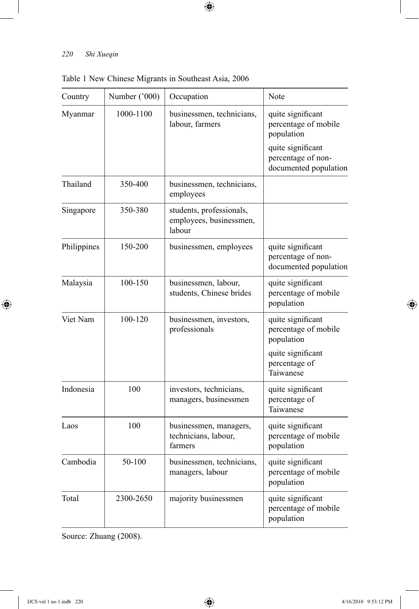## *220 Shi Xueqin*

I

 $\bigoplus$ 

| Country     | Number ('000) | Occupation                                                    | Note                                                             |
|-------------|---------------|---------------------------------------------------------------|------------------------------------------------------------------|
| Myanmar     | 1000-1100     | businessmen, technicians,<br>labour, farmers                  | quite significant<br>percentage of mobile<br>population          |
|             |               |                                                               | quite significant<br>percentage of non-<br>documented population |
| Thailand    | 350-400       | businessmen, technicians,<br>employees                        |                                                                  |
| Singapore   | 350-380       | students, professionals,<br>employees, businessmen,<br>labour |                                                                  |
| Philippines | 150-200       | businessmen, employees                                        | quite significant<br>percentage of non-<br>documented population |
| Malaysia    | 100-150       | businessmen, labour,<br>students, Chinese brides              | quite significant<br>percentage of mobile<br>population          |
| Viet Nam    | 100-120       | businessmen, investors,<br>professionals                      | quite significant<br>percentage of mobile<br>population          |
|             |               |                                                               | quite significant<br>percentage of<br>Taiwanese                  |
| Indonesia   | 100           | investors, technicians,<br>managers, businessmen              | quite significant<br>percentage of<br>Taiwanese                  |
| Laos        | 100           | businessmen, managers,<br>technicians, labour,<br>farmers     | quite significant<br>percentage of mobile<br>population          |
| Cambodia    | 50-100        | businessmen, technicians,<br>managers, labour                 | quite significant<br>percentage of mobile<br>population          |
| Total       | 2300-2650     | majority businessmen                                          | quite significant<br>percentage of mobile<br>population          |

 $\bigoplus$ 

Table 1 New Chinese Migrants in Southeast Asia, 2006

Source: Zhuang (2008).

 $\bigoplus$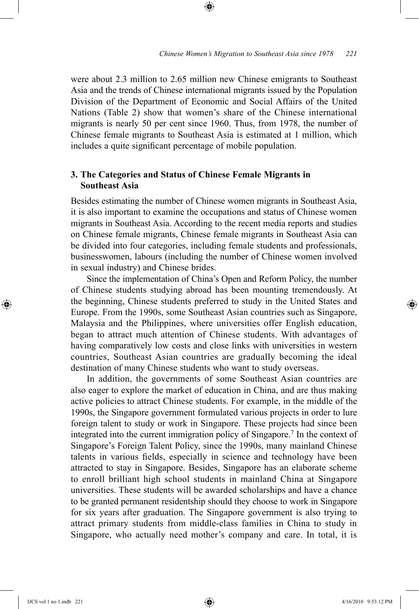were about 2.3 million to 2.65 million new Chinese emigrants to Southeast Asia and the trends of Chinese international migrants issued by the Population Division of the Department of Economic and Social Affairs of the United Nations (Table 2) show that women's share of the Chinese international migrants is nearly 50 per cent since 1960. Thus, from 1978, the number of Chinese female migrants to Southeast Asia is estimated at 1 million, which includes a quite significant percentage of mobile population.

⊕

# **3. The Categories and Status of Chinese Female Migrants in Southeast Asia**

Besides estimating the number of Chinese women migrants in Southeast Asia, it is also important to examine the occupations and status of Chinese women migrants in Southeast Asia. According to the recent media reports and studies on Chinese female migrants, Chinese female migrants in Southeast Asia can be divided into four categories, including female students and professionals, businesswomen, labours (including the number of Chinese women involved in sexual industry) and Chinese brides.

Since the implementation of China's Open and Reform Policy, the number of Chinese students studying abroad has been mounting tremendously. At the beginning, Chinese students preferred to study in the United States and Europe. From the 1990s, some Southeast Asian countries such as Singapore, Malaysia and the Philippines, where universities offer English education, began to attract much attention of Chinese students. With advantages of having comparatively low costs and close links with universities in western countries, Southeast Asian countries are gradually becoming the ideal destination of many Chinese students who want to study overseas.

In addition, the governments of some Southeast Asian countries are also eager to explore the market of education in China, and are thus making active policies to attract Chinese students. For example, in the middle of the 1990s, the Singapore government formulated various projects in order to lure foreign talent to study or work in Singapore. These projects had since been integrated into the current immigration policy of Singapore.7 In the context of Singapore's Foreign Talent Policy, since the 1990s, many mainland Chinese talents in various fields, especially in science and technology have been attracted to stay in Singapore. Besides, Singapore has an elaborate scheme to enroll brilliant high school students in mainland China at Singapore universities. These students will be awarded scholarships and have a chance to be granted permanent residentship should they choose to work in Singapore for six years after graduation. The Singapore government is also trying to attract primary students from middle-class families in China to study in Singapore, who actually need mother's company and care. In total, it is

⊕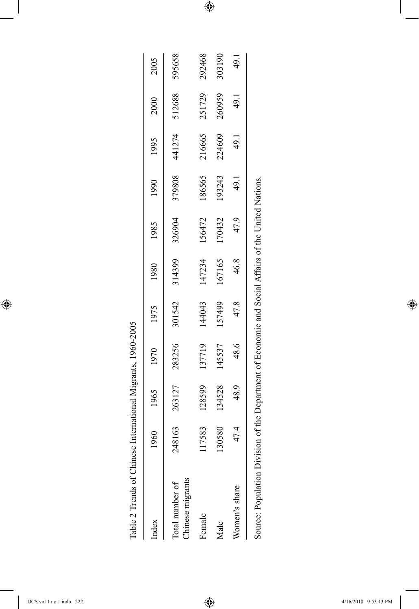| Table 2 Trends of Chinese International Migrants, 1960-2005 |        |        |                                                                            |        |        |        |        |        |        |        |
|-------------------------------------------------------------|--------|--------|----------------------------------------------------------------------------|--------|--------|--------|--------|--------|--------|--------|
| Index                                                       | 1960   |        | 1965 1970 1975                                                             |        | 1980   | 1985   | 1990   | 1995   | 2000   | 2005   |
| Chinese migrants<br>Total number of                         | 248163 | 263127 | 283256                                                                     | 301542 | 314399 | 326904 | 379808 | 441274 | 512688 | 595658 |
| Female                                                      | 17583  | 128599 | 137719                                                                     | 144043 | 147234 | 156472 | 186565 | 216665 | 251729 | 292468 |
| Male                                                        | 30580  | 134528 | 145537                                                                     | 157499 | 167165 | 170432 | 193243 | 224609 | 260959 | 303190 |
| Women's share                                               | 47.4   | 48.9   | 48.6                                                                       | 47.8   | 46.8   | 47.9   | 49.1   | 49.1   | 49.1   | 49.1   |
| Source: Population Divisio                                  |        |        | on of the Department of Economic and Social Affairs of the United Nations. |        |        |        |        |        |        |        |

 $\bigoplus$ 

 $\overline{\phantom{a}}$ 

 $\bigoplus$ 

 $\overline{\phantom{a}}$ 

 $\bigoplus$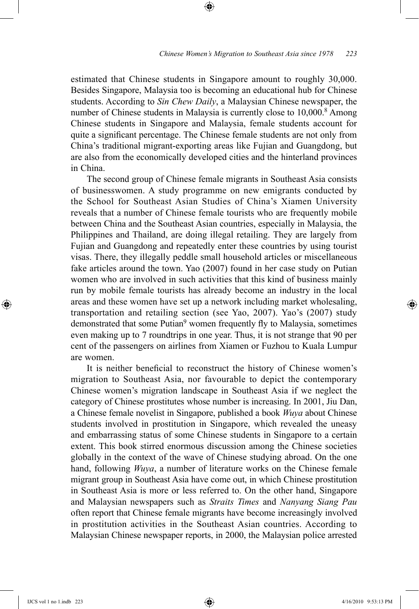estimated that Chinese students in Singapore amount to roughly 30,000. Besides Singapore, Malaysia too is becoming an educational hub for Chinese students. According to *Sin Chew Daily*, a Malaysian Chinese newspaper, the number of Chinese students in Malaysia is currently close to 10,000.<sup>8</sup> Among Chinese students in Singapore and Malaysia, female students account for quite a significant percentage. The Chinese female students are not only from China's traditional migrant-exporting areas like Fujian and Guangdong, but are also from the economically developed cities and the hinterland provinces in China.

⊕

The second group of Chinese female migrants in Southeast Asia consists of businesswomen. A study programme on new emigrants conducted by the School for Southeast Asian Studies of China's Xiamen University reveals that a number of Chinese female tourists who are frequently mobile between China and the Southeast Asian countries, especially in Malaysia, the Philippines and Thailand, are doing illegal retailing. They are largely from Fujian and Guangdong and repeatedly enter these countries by using tourist visas. There, they illegally peddle small household articles or miscellaneous fake articles around the town. Yao (2007) found in her case study on Putian women who are involved in such activities that this kind of business mainly run by mobile female tourists has already become an industry in the local areas and these women have set up a network including market wholesaling, transportation and retailing section (see Yao, 2007). Yao's (2007) study demonstrated that some Putian<sup>9</sup> women frequently fly to Malaysia, sometimes even making up to 7 roundtrips in one year. Thus, it is not strange that 90 per cent of the passengers on airlines from Xiamen or Fuzhou to Kuala Lumpur are women.

It is neither beneficial to reconstruct the history of Chinese women's migration to Southeast Asia, nor favourable to depict the contemporary Chinese women's migration landscape in Southeast Asia if we neglect the category of Chinese prostitutes whose number is increasing. In 2001, Jiu Dan, a Chinese female novelist in Singapore, published a book *Wuya* about Chinese students involved in prostitution in Singapore, which revealed the uneasy and embarrassing status of some Chinese students in Singapore to a certain extent. This book stirred enormous discussion among the Chinese societies globally in the context of the wave of Chinese studying abroad. On the one hand, following *Wuya*, a number of literature works on the Chinese female migrant group in Southeast Asia have come out, in which Chinese prostitution in Southeast Asia is more or less referred to. On the other hand, Singapore and Malaysian newspapers such as *Straits Times* and *Nanyang Siang Pau*  often report that Chinese female migrants have become increasingly involved in prostitution activities in the Southeast Asian countries. According to Malaysian Chinese newspaper reports, in 2000, the Malaysian police arrested

⊕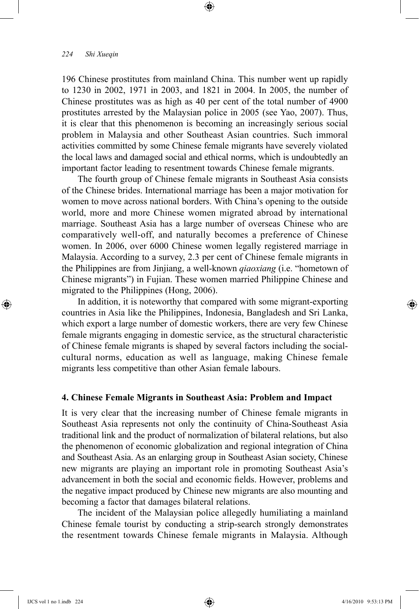#### *224 Shi Xueqin*

196 Chinese prostitutes from mainland China. This number went up rapidly to 1230 in 2002, 1971 in 2003, and 1821 in 2004. In 2005, the number of Chinese prostitutes was as high as 40 per cent of the total number of 4900 prostitutes arrested by the Malaysian police in 2005 (see Yao, 2007). Thus, it is clear that this phenomenon is becoming an increasingly serious social problem in Malaysia and other Southeast Asian countries. Such immoral activities committed by some Chinese female migrants have severely violated the local laws and damaged social and ethical norms, which is undoubtedly an important factor leading to resentment towards Chinese female migrants.

⊕

The fourth group of Chinese female migrants in Southeast Asia consists of the Chinese brides. International marriage has been a major motivation for women to move across national borders. With China's opening to the outside world, more and more Chinese women migrated abroad by international marriage. Southeast Asia has a large number of overseas Chinese who are comparatively well-off, and naturally becomes a preference of Chinese women. In 2006, over 6000 Chinese women legally registered marriage in Malaysia. According to a survey, 2.3 per cent of Chinese female migrants in the Philippines are from Jinjiang, a well-known *qiaoxiang* (i.e. "hometown of Chinese migrants") in Fujian. These women married Philippine Chinese and migrated to the Philippines (Hong, 2006).

In addition, it is noteworthy that compared with some migrant-exporting countries in Asia like the Philippines, Indonesia, Bangladesh and Sri Lanka, which export a large number of domestic workers, there are very few Chinese female migrants engaging in domestic service, as the structural characteristic of Chinese female migrants is shaped by several factors including the socialcultural norms, education as well as language, making Chinese female migrants less competitive than other Asian female labours.

#### **4. Chinese Female Migrants in Southeast Asia: Problem and Impact**

It is very clear that the increasing number of Chinese female migrants in Southeast Asia represents not only the continuity of China-Southeast Asia traditional link and the product of normalization of bilateral relations, but also the phenomenon of economic globalization and regional integration of China and Southeast Asia. As an enlarging group in Southeast Asian society, Chinese new migrants are playing an important role in promoting Southeast Asia's advancement in both the social and economic fields. However, problems and the negative impact produced by Chinese new migrants are also mounting and becoming a factor that damages bilateral relations.

The incident of the Malaysian police allegedly humiliating a mainland Chinese female tourist by conducting a strip-search strongly demonstrates the resentment towards Chinese female migrants in Malaysia. Although

⊕

↔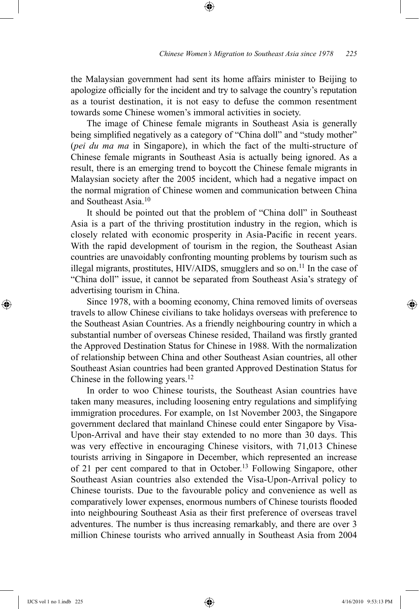the Malaysian government had sent its home affairs minister to Beijing to apologize officially for the incident and try to salvage the country's reputation as a tourist destination, it is not easy to defuse the common resentment towards some Chinese women's immoral activities in society.

⊕

The image of Chinese female migrants in Southeast Asia is generally being simplified negatively as a category of "China doll" and "study mother" (*pei du ma ma* in Singapore), in which the fact of the multi-structure of Chinese female migrants in Southeast Asia is actually being ignored. As a result, there is an emerging trend to boycott the Chinese female migrants in Malaysian society after the 2005 incident, which had a negative impact on the normal migration of Chinese women and communication between China and Southeast Asia<sup>10</sup>

It should be pointed out that the problem of "China doll" in Southeast Asia is a part of the thriving prostitution industry in the region, which is closely related with economic prosperity in Asia-Pacific in recent years. With the rapid development of tourism in the region, the Southeast Asian countries are unavoidably confronting mounting problems by tourism such as illegal migrants, prostitutes,  $HIV/ALDS$ , smugglers and so on.<sup>11</sup> In the case of "China doll" issue, it cannot be separated from Southeast Asia's strategy of advertising tourism in China.

Since 1978, with a booming economy, China removed limits of overseas travels to allow Chinese civilians to take holidays overseas with preference to the Southeast Asian Countries. As a friendly neighbouring country in which a substantial number of overseas Chinese resided, Thailand was firstly granted the Approved Destination Status for Chinese in 1988. With the normalization of relationship between China and other Southeast Asian countries, all other Southeast Asian countries had been granted Approved Destination Status for Chinese in the following years.12

In order to woo Chinese tourists, the Southeast Asian countries have taken many measures, including loosening entry regulations and simplifying immigration procedures. For example, on 1st November 2003, the Singapore government declared that mainland Chinese could enter Singapore by Visa-Upon-Arrival and have their stay extended to no more than 30 days. This was very effective in encouraging Chinese visitors, with 71,013 Chinese tourists arriving in Singapore in December, which represented an increase of 21 per cent compared to that in October.13 Following Singapore, other Southeast Asian countries also extended the Visa-Upon-Arrival policy to Chinese tourists. Due to the favourable policy and convenience as well as comparatively lower expenses, enormous numbers of Chinese tourists flooded into neighbouring Southeast Asia as their first preference of overseas travel adventures. The number is thus increasing remarkably, and there are over 3 million Chinese tourists who arrived annually in Southeast Asia from 2004

⊕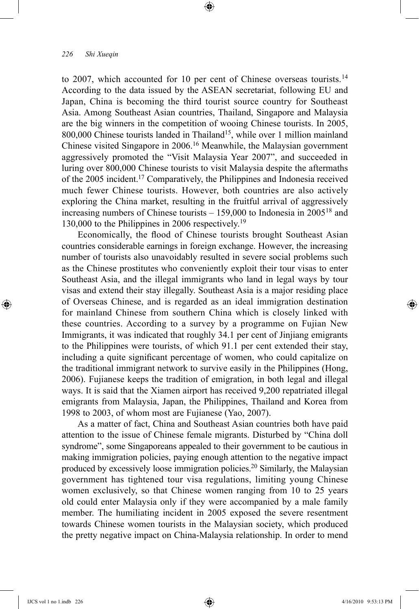to 2007, which accounted for 10 per cent of Chinese overseas tourists.<sup>14</sup> According to the data issued by the ASEAN secretariat, following EU and Japan, China is becoming the third tourist source country for Southeast Asia. Among Southeast Asian countries, Thailand, Singapore and Malaysia are the big winners in the competition of wooing Chinese tourists. In 2005, 800,000 Chinese tourists landed in Thailand<sup>15</sup>, while over 1 million mainland Chinese visited Singapore in 2006.16 Meanwhile, the Malaysian government aggressively promoted the "Visit Malaysia Year 2007", and succeeded in luring over 800,000 Chinese tourists to visit Malaysia despite the aftermaths of the 2005 incident.17 Comparatively, the Philippines and Indonesia received much fewer Chinese tourists. However, both countries are also actively exploring the China market, resulting in the fruitful arrival of aggressively increasing numbers of Chinese tourists  $-159,000$  to Indonesia in 2005<sup>18</sup> and 130,000 to the Philippines in 2006 respectively.19

⊕

Economically, the flood of Chinese tourists brought Southeast Asian countries considerable earnings in foreign exchange. However, the increasing number of tourists also unavoidably resulted in severe social problems such as the Chinese prostitutes who conveniently exploit their tour visas to enter Southeast Asia, and the illegal immigrants who land in legal ways by tour visas and extend their stay illegally. Southeast Asia is a major residing place of Overseas Chinese, and is regarded as an ideal immigration destination for mainland Chinese from southern China which is closely linked with these countries. According to a survey by a programme on Fujian New Immigrants, it was indicated that roughly 34.1 per cent of Jinjiang emigrants to the Philippines were tourists, of which 91.1 per cent extended their stay, including a quite significant percentage of women, who could capitalize on the traditional immigrant network to survive easily in the Philippines (Hong, 2006). Fujianese keeps the tradition of emigration, in both legal and illegal ways. It is said that the Xiamen airport has received 9,200 repatriated illegal emigrants from Malaysia, Japan, the Philippines, Thailand and Korea from 1998 to 2003, of whom most are Fujianese (Yao, 2007).

As a matter of fact, China and Southeast Asian countries both have paid attention to the issue of Chinese female migrants. Disturbed by "China doll syndrome", some Singaporeans appealed to their government to be cautious in making immigration policies, paying enough attention to the negative impact produced by excessively loose immigration policies.20 Similarly, the Malaysian government has tightened tour visa regulations, limiting young Chinese women exclusively, so that Chinese women ranging from 10 to 25 years old could enter Malaysia only if they were accompanied by a male family member. The humiliating incident in 2005 exposed the severe resentment towards Chinese women tourists in the Malaysian society, which produced the pretty negative impact on China-Malaysia relationship. In order to mend

⊕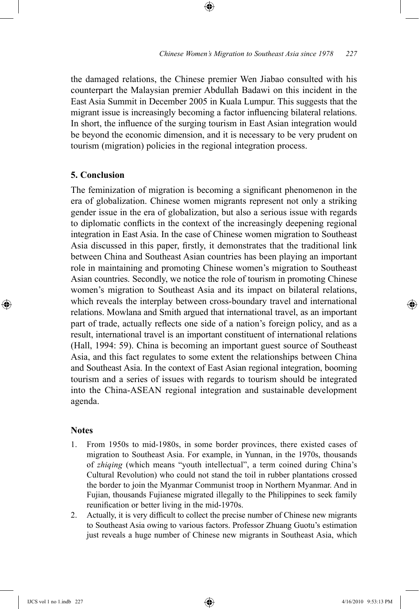the damaged relations, the Chinese premier Wen Jiabao consulted with his counterpart the Malaysian premier Abdullah Badawi on this incident in the East Asia Summit in December 2005 in Kuala Lumpur. This suggests that the migrant issue is increasingly becoming a factor influencing bilateral relations. In short, the influence of the surging tourism in East Asian integration would be beyond the economic dimension, and it is necessary to be very prudent on tourism (migration) policies in the regional integration process.

⊕

## **5. Conclusion**

The feminization of migration is becoming a significant phenomenon in the era of globalization. Chinese women migrants represent not only a striking gender issue in the era of globalization, but also a serious issue with regards to diplomatic conflicts in the context of the increasingly deepening regional integration in East Asia. In the case of Chinese women migration to Southeast Asia discussed in this paper, firstly, it demonstrates that the traditional link between China and Southeast Asian countries has been playing an important role in maintaining and promoting Chinese women's migration to Southeast Asian countries. Secondly, we notice the role of tourism in promoting Chinese women's migration to Southeast Asia and its impact on bilateral relations, which reveals the interplay between cross-boundary travel and international relations. Mowlana and Smith argued that international travel, as an important part of trade, actually reflects one side of a nation's foreign policy, and as a result, international travel is an important constituent of international relations (Hall, 1994: 59). China is becoming an important guest source of Southeast Asia, and this fact regulates to some extent the relationships between China and Southeast Asia. In the context of East Asian regional integration, booming tourism and a series of issues with regards to tourism should be integrated into the China-ASEAN regional integration and sustainable development agenda.

## **Notes**

⊕

- 1. From 1950s to mid-1980s, in some border provinces, there existed cases of migration to Southeast Asia. For example, in Yunnan, in the 1970s, thousands of *zhiqing* (which means "youth intellectual", a term coined during China's Cultural Revolution) who could not stand the toil in rubber plantations crossed the border to join the Myanmar Communist troop in Northern Myanmar. And in Fujian, thousands Fujianese migrated illegally to the Philippines to seek family reunification or better living in the mid-1970s.
- 2. Actually, it is very difficult to collect the precise number of Chinese new migrants to Southeast Asia owing to various factors. Professor Zhuang Guotu's estimation just reveals a huge number of Chinese new migrants in Southeast Asia, which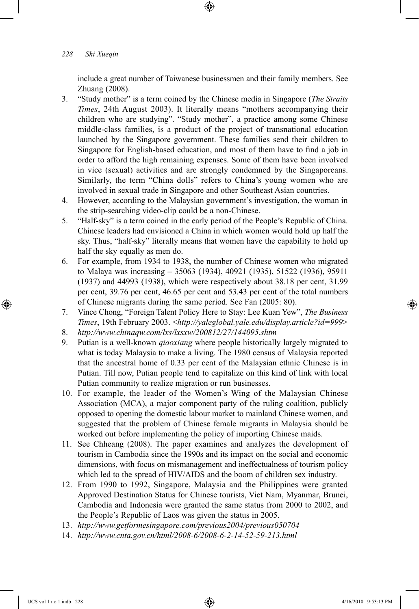## *228 Shi Xueqin*

include a great number of Taiwanese businessmen and their family members. See Zhuang (2008).

- 3. "Study mother" is a term coined by the Chinese media in Singapore (*The Straits Times*, 24th August 2003). It literally means "mothers accompanying their children who are studying". "Study mother", a practice among some Chinese middle-class families, is a product of the project of transnational education launched by the Singapore government. These families send their children to Singapore for English-based education, and most of them have to find a job in order to afford the high remaining expenses. Some of them have been involved in vice (sexual) activities and are strongly condemned by the Singaporeans. Similarly, the term "China dolls" refers to China's young women who are involved in sexual trade in Singapore and other Southeast Asian countries.
- 4. However, according to the Malaysian government's investigation, the woman in the strip-searching video-clip could be a non-Chinese.
- 5. "Half-sky" is a term coined in the early period of the People's Republic of China. Chinese leaders had envisioned a China in which women would hold up half the sky. Thus, "half-sky" literally means that women have the capability to hold up half the sky equally as men do.
- 6. For example, from 1934 to 1938, the number of Chinese women who migrated to Malaya was increasing – 35063 (1934), 40921 (1935), 51522 (1936), 95911 (1937) and 44993 (1938), which were respectively about 38.18 per cent, 31.99 per cent, 39.76 per cent, 46.65 per cent and 53.43 per cent of the total numbers of Chinese migrants during the same period. See Fan (2005: 80).
- 7. Vince Chong, "Foreign Talent Policy Here to Stay: Lee Kuan Yew", *The Business Times*, 19th February 2003. <*http://yaleglobal.yale.edu/display.article?id=999*>
- 8. *http://www.chinaqw.com/lxs/lxsxw/200812/27/144095.shtm*
- 9. Putian is a well-known *qiaoxiang* where people historically largely migrated to what is today Malaysia to make a living. The 1980 census of Malaysia reported that the ancestral home of 0.33 per cent of the Malaysian ethnic Chinese is in Putian. Till now, Putian people tend to capitalize on this kind of link with local Putian community to realize migration or run businesses.
- 10. For example, the leader of the Women's Wing of the Malaysian Chinese Association (MCA), a major component party of the ruling coalition, publicly opposed to opening the domestic labour market to mainland Chinese women, and suggested that the problem of Chinese female migrants in Malaysia should be worked out before implementing the policy of importing Chinese maids.
- 11. See Chheang (2008). The paper examines and analyzes the development of tourism in Cambodia since the 1990s and its impact on the social and economic dimensions, with focus on mismanagement and ineffectualness of tourism policy which led to the spread of HIV/AIDS and the boom of children sex industry.
- 12. From 1990 to 1992, Singapore, Malaysia and the Philippines were granted Approved Destination Status for Chinese tourists, Viet Nam, Myanmar, Brunei, Cambodia and Indonesia were granted the same status from 2000 to 2002, and the People's Republic of Laos was given the status in 2005.
- 13. *http://www.getformesingapore.com/previous2004/previous050704*
- 14. *http://www.cnta.gov.cn/html/2008-6/2008-6-2-14-52-59-213.html*

IJCS vol 1 no 1.indb 228 4/16/2010 9:53:13 PM

 $\bigoplus$